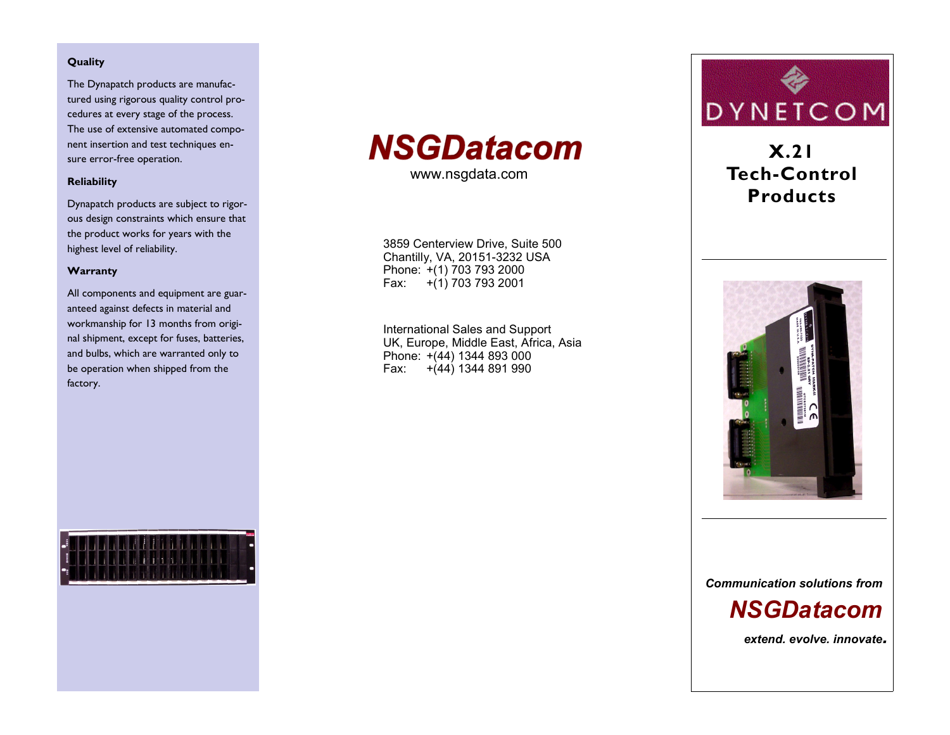#### Quality

The Dynapatch products are manufactured using rigorous quality control procedures at every stage of the process. The use of extensive automated component insertion and test techniques ensure error-free operation.

#### **Reliability**

Dynapatch products are subject to rigorous design constraints which ensure that the product works for years with the highest level of reliability.

#### Warranty

All components and equipment are guaranteed against defects in material and workmanship for 13 months from original shipment, except for fuses, batteries, and bulbs, which are warranted only to be operation when shipped from the factory.



www.nsgdata.com

3859 Centerview Drive, Suite 500 Chantilly, VA, 20151-3232 USA Phone: +(1) 703 793 2000 Fax:  $+(1)$  703 793 2001

International Sales and Support UK, Europe, Middle East, Africa, Asia Phone: +(44) 1344 893 000 Fax:  $+(44)$  1344 891 990



## $X.21$ **Tech-Control Products**



**Communication solutions from** 

# **NSGDatacom**

extend, evolve, innovate.